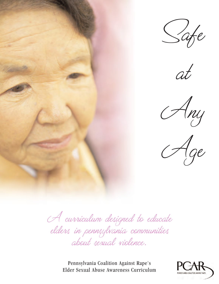









A curriculum designed to educate elders in pennsylvania communities about sexual violence.

Pennsylvania Coalition Against Rape's Elder Sexual Abuse Awareness Curriculum

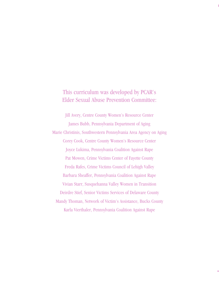# This curriculum was developed by PCAR's Elder Sexual Abuse Prevention Committee:

Jill Avery, Centre County Women's Resource Center James Bubb, Pennsylvania Department of Aging Marie Christinis, Southwestern Pennsylvania Area Agency on Aging Corey Cook, Centre County Women's Resource Center Joyce Lukima, Pennsylvania Coalition Against Rape Pat Mowen, Crime Victims Center of Fayette County Freda Rafes, Crime Victims Council of Lehigh Valley Barbara Sheaffer, Pennsylvania Coalition Against Rape Vivian Starr, Susquehanna Valley Women in Transition Deirdre Stief, Senior Victims Services of Delaware County Mandy Thoman, Network of Victim's Assistance, Bucks County Karla Vierthaler, Pennsylvania Coalition Against Rape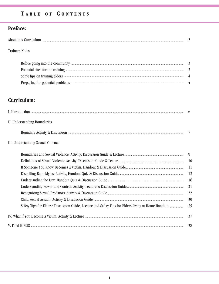# **T A B L E O F C O N T E N T S**

# **Preface:**

### Trainers Notes

| Some tips on training elders <i>manufacture in the contract of the contract of the contract of</i> the contract of the contract of the contract of the contract of the contract of the contract of the contract of the contract of  |  |
|-------------------------------------------------------------------------------------------------------------------------------------------------------------------------------------------------------------------------------------|--|
| Preparing for potential problems <b>Exercise Construction</b> and the set of the set of the set of the set of the set of the set of the set of the set of the set of the set of the set of the set of the set of the set of the set |  |

# **Curriculum:**

|                                    | $\mathfrak b$ |
|------------------------------------|---------------|
| II. Understanding Boundaries       |               |
|                                    |               |
| III. Understanding Sexual Violence |               |
|                                    | 9             |
|                                    | <b>10</b>     |
|                                    | 11            |
|                                    | 12            |
|                                    | 16            |
|                                    | 21            |
|                                    | 22            |
|                                    | 30            |
|                                    | 35            |
|                                    | 37            |
| V. Final BINGO                     | 38            |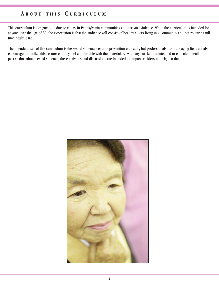## **A B O U T T H I S C U R R I C U L U M**

This curriculum is designed to educate elders in Pennsylvania communities about sexual violence. While the curriculum is intended for anyone over the age of 60, the expectation is that the audience will consist of healthy elders living in a community and not requiring full time health care.

The intended user of this curriculum is the sexual violence center's prevention educator, but professionals from the aging field are also encouraged to utilize this resource if they feel comfortable with the material. As with any curriculum intended to educate potential or past victims about sexual violence, these activities and discussions are intended to empower elders-not frighten them.

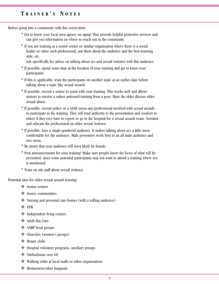# **T R A I N E R ' S N O T E S**

Before going into a community with this curriculum:

- \* Get to know your local area agency on aging! They provide helpful protective services and can give you information on where to reach out in the community.
- \* If you are training at a senior center or similar organization where there is a social leader or other such professional, ask them about the audience and the best learning style, etc.

Ask specifically for advice on talking about sex and sexual violence with this audience.

- \* If possible, spend some time at the location of your training and get to know your participants.
- \* If this is applicable, train the participants on another topic at an earlier date before talking about a topic like sexual assault.
- \* If possible, recruit a senior to assist with your training. This works well and allows seniors to receive a rather awkward training from a peer. Have the elder discuss elder sexual abuse.
- \* If possible, recruit police or a SANE nurse-any professional involved with sexual assaultto participate in the training. They will lend authority to the presentation and comfort to elders if they ever have to report or go to the hospital for a sexual assault exam. Sensitize and educate the professional on elder sexual violence.
- \* If possible, have a single-gendered audience. It makes talking about sex a little more comfortable for the audience. Male presenters work best in an all male audience and vice versa.
- \* Be aware that your audience will most likely be female.
- \* Post announcements for your training! Make sure people know the focus of what will be presented, since some potential participants may not want to attend a training where sex is mentioned.
- \* Train on site staff about sexual violence.

Potential sites for elder sexual assault training:

- ❖ Senior centers
- v Senior communities
- Nursing and personal care homes (with a willing audience)
- v VFW
- $\triangleleft$  Independent living centers
- **❖** Adult Day Care
- **❖** AARP local groups
- v Churches (women's groups)
- ❖ Rotary clubs
- v Hospital volunteer programs, auxiliary groups
- **❖** Ombudsman over 60
- Walking clubs at local malls or other organizations
- v Restaurants/other hangouts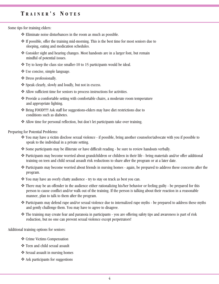# **T R A I N E R ' S N O T E S**

Some tips for training elders:

- $\triangle$  Eliminate noise disturbances in the room as much as possible.
- $\triangleleft$  If possible, offer the training mid-morning. This is the best time for most seniors due to sleeping, eating and medication schedules.
- v Consider sight and hearing changes. Most handouts are in a larger font, but remain mindful of potential issues.
- $\mathbf{\hat{*}}$  Try to keep the class size smaller-10 to 15 participants would be ideal.
- v Use concise, simple language.
- ❖ Dress professionally.
- ❖ Speak clearly, slowly and loudly, but not in excess.
- Allow sufficient time for seniors to process instructions for activities.
- \* Provide a comfortable setting with comfortable chairs, a moderate room temperature and appropriate lighting.
- \* Bring FOOD!!!!! Ask staff for suggestions-elders may have diet restrictions due to conditions such as diabetes.
- Allow time for personal reflection, but don't let participants take over training.

Preparing for Potential Problems:

- v You may have a victim disclose sexual violence if possible, bring another counselor/advocate with you if possible to speak to the individual in a private setting.
- $\clubsuit$  Some participants may be illiterate or have difficult reading be sure to review handouts verbally.
- v Participants may become worried about grandchildren or children in their life bring materials and/or offer additional training on teen and child sexual assault risk reductions to share after the program or at a later date.
- v Participants may become worried about friends in nursing homes again, be prepared to address these concerns after the program.
- $\clubsuit$  You may have an overly chatty audience try to stay on track as best you can.
- There may be an offender in the audience either rationalizing his/her behavior or feeling guilty be prepared for this person to cause conflict and/or walk out of the training. If the person is talking about their reaction in a reasonable manner, plan to talk to them after the program.
- v Participants may defend rape and/or sexual violence due to internalized rape myths be prepared to address these myths and gently challenge them. You may have to agree to disagree.
- \* The training may create fear and paranoia in participants you are offering safety tips and awareness is part of risk reduction, but no one can prevent sexual violence except perpetrators!

Additional training options for seniors:

- **❖** Crime Victims Compensation
- v Teen and child sexual assault
- **❖** Sexual assault in nursing homes
- $\triangleleft$  Ask participants for suggestions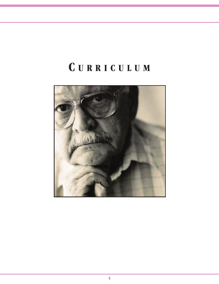# **C U R R I C U L U M**

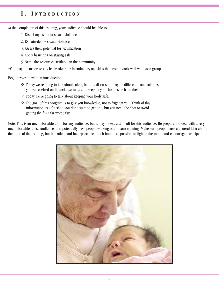## **I . I N T R O D U C T I O N**

At the completion of this training, your audience should be able to:

- 1. Dispel myths about sexual violence
- 2. Explain/define sexual violence
- 3. Assess their potential for victimization
- 4. Apply basic tips on staying safe
- 5. Name the resources available in the community

\*You may incorporate any icebreakers or introductory activities that would work well with your group.

Begin program with an introduction:

- \* Today we're going to talk about safety, but this discussion may be different from trainings you've received on financial security and keeping your home safe from theft.
- \* Today we're going to talk about keeping your body safe.
- $\hat{\mathbf{v}}$  The goal of this program is to give you knowledge, not to frighten you. Think of this information as a flu shot; you don't want to get one, but you need the shot to avoid getting the flu-a far worse fate.

Note: This is an uncomfortable topic for any audience, but it may be extra difficult for this audience. Be prepared to deal with a very uncomfortable, tense audience, and potentially have people walking out of your training. Make sure people have a general idea about the topic of the training, but be patient and incorporate as much humor as possible to lighten the mood and encourage participation.

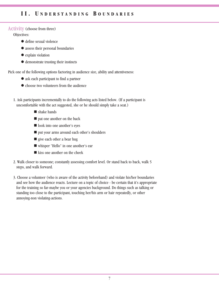# **I I . U N D E R S T A N D I N G B O U N D A R I E S**

#### Activity (choose from three)

#### Objectives:

- $\bullet$  define sexual violence
- assess their personal boundaries
- explain violation
- $\bullet$  demonstrate trusting their instincts

Pick one of the following options factoring in audience size, ability and attentiveness:

- ask each participant to find a partner
- choose two volunteers from the audience
- 1. Ask participants incrementally to do the following acts listed below. (If a participant is uncomfortable with the act suggested, she or he should simply take a seat.)
	- $\blacksquare$  shake hands
	- $\blacksquare$  pat one another on the back
	- look into one another's eyes
	- n put your arms around each other's shoulders
	- $\blacksquare$  give each other a bear hug
	- whisper "Hello" in one another's ear
	- $\blacksquare$  kiss one another on the cheek
- 2. Walk closer to someone; constantly assessing comfort level. Or stand back to back, walk 5 steps, and walk forward.
- 3. Choose a volunteer (who is aware of the activity beforehand) and violate his/her boundaries and see how the audience reacts. Lecture on a topic of choice - be certain that it's appropriate for the training so far-maybe you or your agencies background. Do things such as talking or standing too close to the participant, touching her/his arm or hair repeatedly, or other annoying-non violating-actions.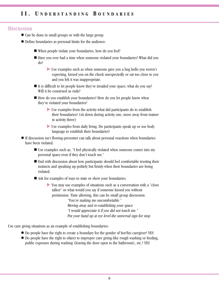#### **Discussion**

- Can be done in small groups or with the large group.
- l Define boundaries as personal limits for the audience.
	- $\blacksquare$  When people violate your boundaries, how do you feel?
	- Have you ever had a time when someone violated your boundaries? What did you do?
		- $\blacktriangleright$  Use examples such as when someone gave you a hug hello you weren't expecting, kissed you on the cheek unexpectedly or sat too close to you and you felt it was inappropriate.
	- $\blacksquare$  It is difficult to let people know they've invaded your space; what do you say? Will it be construed as rude?
	- $\blacksquare$  How do you establish your boundaries? How do you let people know when they've violated your boundaries?
		- $\triangleright$  Use examples from the activity-what did participants do to establish their boundaries? (sit down during activity one, move away from trainer in activity three)
		- $\blacktriangleright$  Use examples from daily living. Do participants speak up or use body language to establish their boundaries?
- l If discussion isn't flowing-presenter can talk about personal reactions when boundaries have been violated.
	- $\blacksquare$  Use examples such as, "I feel physically violated when someone comes into my personal space-even if they don't touch me."
	- End with discussion about how participants should feel comfortable trusting their instincts and speaking up-politely but firmly-when their boundaries are being violated.
	- $\blacksquare$  Ask for examples of ways to state or show your boundaries.
		- u You may use examples of situations such as a conversation with a "close talker" or what would you say if someone kissed you without permission. Time allowing, this can be small group discussion.

"You're making me uncomfortable." Moving away and re-establishing your space "I would appreciate it if you did not touch me." Put your hand up at eye level-the universal sign for stop.

Use care giving situations as an example of establishing boundaries:

- Do people have the right to create a boundary for the gender of her/his caregiver? YES
- l Do people have the right to object to improper care giving-like rough washing or feeding, public exposure during washing (leaving the door open to the bathroom), etc.? YES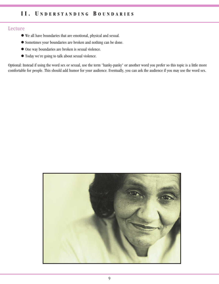# **I I . U N D E R S T A N D I N G B O U N D A R I E S**

#### Lecture

- l We all have boundaries that are emotional, physical and sexual.
- l Sometimes your boundaries are broken and nothing can be done.
- $\bullet$  One way boundaries are broken is sexual violence.
- l Today we're going to talk about sexual violence.

Optional: Instead if using the word sex or sexual, use the term "hanky-panky" or another word you prefer so this topic is a little more comfortable for people. This should add humor for your audience. Eventually, you can ask the audience if you may use the word sex.

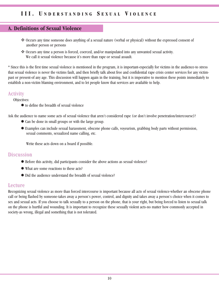### **A. Definitions of Sexual Violence**

- v Occurs any time someone does anything of a sexual nature (verbal or physical) without the expressed consent of another person or persons
- v Occurs any time a person is forced, coerced, and/or manipulated into any unwanted sexual activity. We call it sexual violence because it's more than rape or sexual assault.

\* Since this is the first time sexual violence is mentioned in the program, it is important-especially for victims in the audience-to stress that sexual violence is never the victims fault, and then briefly talk about free and confidential rape crisis center services for any victimpast or present-of any age. This discussion will happen again in the training, but it is imperative to mention these points immediately to establish a non-victim blaming environment, and to let people know that services are available to help.

### **Activity**

Objectives:

 $\bullet$  to define the breadth of sexual violence

Ask the audience to name some acts of sexual violence that aren't considered rape (or don't involve penetration/intercourse)?

- Can be done in small groups or with the large group.
- l Examples can include sexual harassment, obscene phone calls, voyeurism, grabbing body parts without permission, sexual comments, sexualized name calling, etc.

Write these acts down on a board if possible.

### **Discussion**

- l Before this activity, did participants consider the above actions as sexual violence?
- What are some reactions to these acts?
- Did the audience understand the breadth of sexual violence?

#### Lecture

Recognizing sexual violence as more than forced intercourse is important because all acts of sexual violence-whether an obscene phone call or being flashed by someone-takes away a person's power, control, and dignity and takes away a person's choice when it comes to sex and sexual acts. If you choose to talk sexually to a person on the phone, that is your right, but being forced to listen to sexual talk on the phone is hurtful and wounding. It is important to recognize these sexually violent acts-no matter how commonly accepted in society-as wrong, illegal and something that is not tolerated.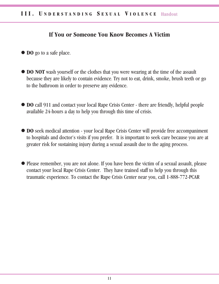# **If You or Someone You Know Becomes A Victim**

- **lacks** DO go to a safe place.
- **DO NOT** wash yourself or the clothes that you were wearing at the time of the assault because they are likely to contain evidence. Try not to eat, drink, smoke, brush teeth or go to the bathroom in order to preserve any evidence.
- **DO** call 911 and contact your local Rape Crisis Center there are friendly, helpful people available 24-hours a day to help you through this time of crisis.
- **DO** seek medical attention your local Rape Crisis Center will provide free accompaniment to hospitals and doctor's visits if you prefer. It is important to seek care because you are at greater risk for sustaining injury during a sexual assault due to the aging process.
- Please remember, you are not alone. If you have been the victim of a sexual assault, please contact your local Rape Crisis Center. They have trained staff to help you through this traumatic experience. To contact the Rape Crisis Center near you, call 1-888-772-PCAR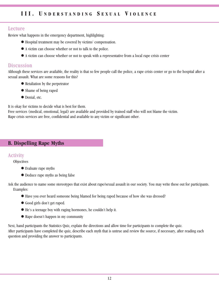#### Lecture

Review what happens in the emergency department, highlighting:

- l Hospital treatment may be covered by victims' compensation.
- l A victim can choose whether or not to talk to the police.
- l A victim can choose whether or not to speak with a representative from a local rape crisis center

#### **Discussion**

Although these services are available, the reality is that so few people call the police, a rape crisis center or go to the hospital after a sexual assault. What are some reasons for this?

- Retaliation by the perpetrator
- Shame of being raped
- $\bullet$  Denial, etc.

It is okay for victims to decide what is best for them.

Free services (medical, emotional, legal) are available and provided by trained staff who will not blame the victim. Rape crisis services are free, confidential and available to any victim or significant other.

### **B. Dispelling Rape Myths**

#### **Activity**

**Objectives** 

- Evaluate rape myths
- Deduce rape myths as being false

Ask the audience to name some stereotypes that exist about rape/sexual assault in our society. You may write these out for participants. Examples:

- l Have you ever heard someone being blamed for being raped because of how she was dressed?
- l Good girls don't get raped.
- l He's a teenage boy with raging hormones, he couldn't help it.
- Rape doesn't happen in my community

Next, hand participants the Statistics Quiz, explain the directions and allow time for participants to complete the quiz. After participants have completed the quiz, describe each myth that is untrue and review the source, if necessary, after reading each question and providing the answer to participants.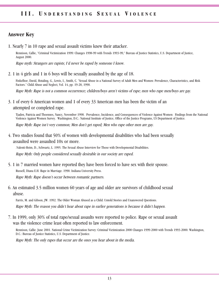## **Answer Key**

1. Nearly 7 in 10 rape and sexual assault victims knew their attacker.

Rennison, Callie, "Criminal Victimization 1999: Changes 1998-99 with Trends 1993-99," Bureau of Justice Statistics, U.S. Department of Justice, August 2000.

Rape myth: Strangers are rapists; I'd never be raped by someone I know.

2. 1 in 4 girls and 1 in 6 boys will be sexually assaulted by the age of 18.

Finkelhor, David, Hotaling, G., Lewis, I., Smith, C. "Sexual Abuse in a National Survey of Adult Men and Women: Prevalence, Characteristics, and Risk Factors." Child Abuse and Neglect, Vol. 14, pp. 19-28, 1990.

Rape Myth: Rape is not a common occurrence; children/boys aren't victims of rape; men who rape men/boys are gay.

3. 1 of every 6 American women and 1 of every 33 American men has been the victim of an attempted or completed rape.

Tjaden, Patricia and Thoennes, Nancy, November 1998. Prevalence, Incidence, and Consequences of Violence Against Women: Findings from the National Violence Against Women Survey. Washington, D.C.: National Institute of Justice, Office of the Justice Programs, US Department of Justice.

Rape Myth: Rape isn't very common; Men don't get raped; Men who rape other men are gay.

4. Two studies found that 50% of women with developmental disabilities who had been sexually assaulted were assaulted 10x or more.

.Valenti-Heim, D., Schwartz, L. 1995. The Sexual Abuse Interview for Those with Developmental Disabilities. Rape Myth: Only people considered sexually desirable in our society are raped.

- 5. 1 in 7 married women have reported they have been forced to have sex with their spouse. Russell, Diana E.H. Rape in Marriage. 1990. Indiana University Press. Rape Myth: Rape doesn't occur between romantic partners.
- 6. An estimated 3.5 million women 60 years of age and older are survivors of childhood sexual abuse.

Farris, M. and Gibson, JW. 1992. The Older Woman Abused as a Child: Untold Stories and Unanswered Questions. Rape Myth: The reason you didn't hear about rape in earlier generations is because it didn't happen.

7. In 1999, only 30% of total rape/sexual assaults were reported to police. Rape or sexual assault was the violence crime least often reported to law enforcement.

Rennison, Callie. June 2001. National Crime Victimization Survey: Criminal Victimization 2000 Changes 1999-2000 with Trends 1993-2000. Washington, D.C.: Bureau of Justice Statistics, U.S. Department of Justice.

Rape Myth: The only rapes that occur are the ones you hear about in the media.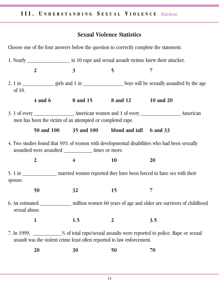# **Sexual Violence Statistics**

Choose one of the four answers below the question to correctly complete the statement.

|               | $\boldsymbol{2}$ | $\overline{\mathbf{3}}$                                    | 5                                                                      | 7                                                                                                           |  |  |
|---------------|------------------|------------------------------------------------------------|------------------------------------------------------------------------|-------------------------------------------------------------------------------------------------------------|--|--|
| of 18.        |                  |                                                            |                                                                        | 2. 1 in _________________ girls and 1 in _______________________ boys will be sexually assaulted by the age |  |  |
|               |                  |                                                            | 4 and 6 8 and 15 8 and 12 10 and 20                                    |                                                                                                             |  |  |
|               |                  | men has been the victim of an attempted or completed rape. |                                                                        |                                                                                                             |  |  |
|               |                  |                                                            | 50 and 100 35 and 100 blond and tall 6 and 33                          |                                                                                                             |  |  |
|               |                  | assaulted were assaulted _____________ times or more.      |                                                                        | 4. Two studies found that 50% of women with developmental disabilities who had been sexually                |  |  |
|               | $\overline{2}$   | $\overline{4}$                                             | 10                                                                     | 20                                                                                                          |  |  |
| spouse.       |                  |                                                            |                                                                        | 5. 1 in _________________ married women reported they have been forced to have sex with their               |  |  |
|               | 50               | 32                                                         | 15                                                                     | 7                                                                                                           |  |  |
| sexual abuse. |                  |                                                            |                                                                        | 6. An estimated <u>equal million</u> women 60 years of age and older are survivors of childhood             |  |  |
|               |                  | 1.5                                                        | $\bf{2}$                                                               | 3.5                                                                                                         |  |  |
|               |                  |                                                            | assault was the violent crime least often reported to law enforcement. | 7. In 1999, ____________% of total rape/sexual assaults were reported to police. Rape or sexual             |  |  |
|               |                  |                                                            |                                                                        |                                                                                                             |  |  |

**20 30 50 70**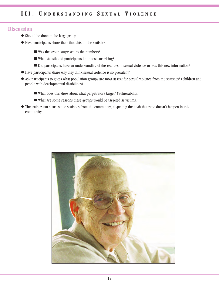#### **Discussion**

- Should be done in the large group.
- l Have participants share their thoughts on the statistics.
	- $\blacksquare$  Was the group surprised by the numbers?
	- What statistic did participants find most surprising?
	- Did participants have an understanding of the realities of sexual violence or was this new information?
- l Have participants share why they think sexual violence is so prevalent?
- l Ask participants to guess what population groups are most at risk for sexual violence from the statistics? (children and people with developmental disabilities)
	- $\blacksquare$  What does this show about what perpetrators target? (Vulnerability)
	- $\blacksquare$  What are some reasons these groups would be targeted as victims.
- l The trainer can share some statistics from the community, dispelling the myth that rape doesn't happen in this community.

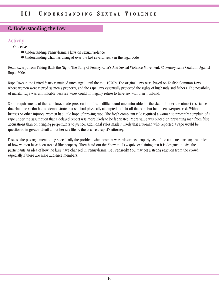### **C. Understanding the Law**

# **Activity**

**Objectives** 

- l Understanding Pennsylvania's laws on sexual violence
- l Understanding what has changed over the last several years in the legal code

Read excerpt from Taking Back the Night: The Story of Pennsylvania's Anti-Sexual Violence Movement. © Pennsylvania Coalition Against Rape, 2006.

Rape Laws in the United States remained unchanged until the mid 1970's. The original laws were based on English Common Laws where women were viewed as men's property, and the rape laws essentially protected the rights of husbands and fathers. The possibility of marital rape was unthinkable because wives could not legally refuse to have sex with their husband.

Some requirements of the rape laws made prosecution of rape difficult and uncomfortable for the victim. Under the utmost resistance doctrine, the victim had to demonstrate that she had physically attempted to fight off the rape but had been overpowered. Without bruises or other injuries, women had little hope of proving rape. The fresh complaint rule required a woman to promptly complain of a rape under the assumption that a delayed report was more likely to be fabricated. More value was placed on preventing men from false accusations than on bringing perpetrators to justice. Additional rules made it likely that a woman who reported a rape would be questioned in greater detail about her sex life by the accused rapist's attorney.

Discuss the passage, mentioning specifically the problem when women were viewed as property. Ask if the audience has any examples of how women have been treated like property. Then hand out the Know the Law quiz, explaining that it is designed to give the participants an idea of how the laws have changed in Pennsylvania. Be Prepared!! You may get a strong reaction from the crowd, especially if there are male audience members.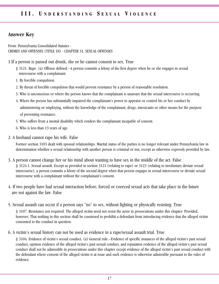### **Answer Key**

From: Pennsylvania Consolidated Statutes - CRIMES AND OFFENSES (TITLE 18) - CHAPTER 31. SEXUAL OFFENSES

1.If a person is passed out drunk, she or he cannot consent to sex. True

- § 3121. Rape. (a) Offense defined.--A person commits a felony of the first degree when he or she engages in sexual intercourse with a complainant:
- 1. By forcible compulsion.
- 2. By threat of forcible compulsion that would prevent resistance by a person of reasonable resolution.
- 3. Who is unconscious or where the person knows that the complainant is unaware that the sexual intercourse is occurring.
- 4. Where the person has substantially impaired the complainant's power to appraise or control his or her conduct by administering or employing, without the knowledge of the complainant, drugs, intoxicants or other means for the purpose of preventing resistance.
- 5. Who suffers from a mental disability which renders the complainant incapable of consent.
- 6. Who is less than 13 years of age.
- 2. A husband cannot rape his wife. False

Former section 3103 dealt with spousal relationships. Marital status of the parties is no longer relevant under Pennsylvania law in determination whether a sexual relationship with another person is criminal or not, except as otherwise expressly provided by law.

- 3. A person cannot change her or his mind about wanting to have sex in the middle of the act. False § 3124.1. Sexual assault. Except as provided in section 3121 (relating to rape) or 3123 (relating to involuntary deviate sexual intercourse), a person commits a felony of the second degree when that person engages in sexual intercourse or deviate sexual intercourse with a complainant without the complainant's consent.
- 4. If two people have had sexual interaction before, forced or coerced sexual acts that take place in the future are not against the law. False
- 5. Sexual assault can occur if a person says "no" to sex, without fighting or physically resisting. True

§ 3107. Resistance not required. The alleged victim need not resist the actor in prosecutions under this chapter: Provided, however, That nothing in this section shall be construed to prohibit a defendant from introducing evidence that the alleged victim consented to the conduct in question.

6. A victim's sexual history can not be used as evidence in a rape/sexual assault trial. True

§ 3104. Evidence of victim's sexual conduct. (a) General rule.--Evidence of specific instances of the alleged victim's past sexual conduct, opinion evidence of the alleged victim's past sexual conduct, and reputation evidence of the alleged victim's past sexual conduct shall not be admissible in prosecutions under this chapter except evidence of the alleged victim's past sexual conduct with the defendant where consent of the alleged victim is at issue and such evidence is otherwise admissible pursuant to the rules of evidence.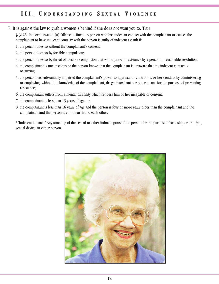7. It is against the law to grab a women's behind if she does not want you to. True

§ 3126. Indecent assault. (a) Offense defined.--A person who has indecent contact with the complainant or causes the complainant to have indecent contact\* with the person is guilty of indecent assault if:

- 1. the person does so without the complainant's consent;
- 2. the person does so by forcible compulsion;
- 3. the person does so by threat of forcible compulsion that would prevent resistance by a person of reasonable resolution;
- 4. the complainant is unconscious or the person knows that the complainant is unaware that the indecent contact is occurring;
- 5. the person has substantially impaired the complainant's power to appraise or control his or her conduct by administering or employing, without the knowledge of the complainant, drugs, intoxicants or other means for the purpose of preventing resistance;
- 6. the complainant suffers from a mental disability which renders him or her incapable of consent;
- 7. the complainant is less than 13 years of age; or
- 8. the complainant is less than 16 years of age and the person is four or more years older than the complainant and the complainant and the person are not married to each other.

\*"Indecent contact." Any touching of the sexual or other intimate parts of the person for the purpose of arousing or gratifying sexual desire, in either person.

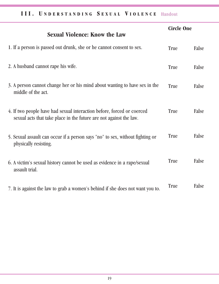# III. UNDERSTANDING SEXUAL VIOLENCE Handout

| <b>Sexual Violence: Know the Law</b>                                                                                                         | <b>Circle One</b> |       |
|----------------------------------------------------------------------------------------------------------------------------------------------|-------------------|-------|
| 1. If a person is passed out drunk, she or he cannot consent to sex.                                                                         | True              | False |
| 2. A husband cannot rape his wife.                                                                                                           | True              | False |
| 3. A person cannot change her or his mind about wanting to have sex in the<br>middle of the act.                                             | True              | False |
| 4. If two people have had sexual interaction before, forced or coerced<br>sexual acts that take place in the future are not against the law. | True              | False |
| 5. Sexual assault can occur if a person says "no" to sex, without fighting or<br>physically resisting.                                       | True              | False |
| 6. A victim's sexual history cannot be used as evidence in a rape/sexual<br>assault trial.                                                   | True              | False |
| 7. It is against the law to grab a women's behind if she does not want you to.                                                               | <b>True</b>       | False |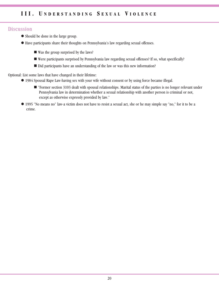### **Discussion**

- l Should be done in the large group.
- l Have participants share their thoughts on Pennsylvania's law regarding sexual offenses.
	- $\blacksquare$  Was the group surprised by the laws?
	- n Were participants surprised by Pennsylvania law regarding sexual offenses? If so, what specifically?
	- Did participants have an understanding of the law or was this new information?

Optional: List some laws that have changed in their lifetime:

- l 1984 Spousal Rape Law-having sex with your wife without consent or by using force became illegal.
	- "Former section 3103 dealt with spousal relationships. Marital status of the parties is no longer relevant under Pennsylvania law in determination whether a sexual relationship with another person is criminal or not, except as otherwise expressly provided by law."
- l 1995 "No means no" law-a victim does not have to resist a sexual act, she or he may simple say "no," for it to be a crime.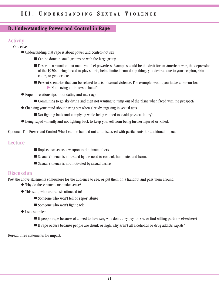#### **D. Understanding Power and Control in Rape**

### **Activity**

**Objectives** 

- Understanding that rape is about power and control-not sex
	- $\blacksquare$  Can be done in small groups or with the large group.
	- n Describe a situation that made you feel powerless. Examples could be the draft for an American war, the depression of the 1930s, being forced to play sports, being limited from doing things you desired due to your religion, skin color, or gender, etc.
	- Present scenarios that can be related to acts of sexual violence. For example, would you judge a person for:  $\blacktriangleright$  Not leaving a job he/she hated?
- Rape in relationships, both dating and marriage
	- Committing to go sky diving and then not wanting to jump out of the plane when faced with the prospect?
- l Changing your mind about having sex when already engaging in sexual acts.
	- $\blacksquare$  Not fighting back and complying while being robbed to avoid physical injury?
- l Being raped violently and not fighting back to keep yourself from being further injured or killed.

Optional: The Power and Control Wheel can be handed out and discussed with participants for additional impact.

#### Lecture

- $\blacksquare$  Rapists use sex as a weapon to dominate others.
- Sexual Violence is motivated by the need to control, humiliate, and harm.
- Sexual Violence is not motivated by sexual desire.

#### **Discussion**

Post the above statements somewhere for the audience to see, or put them on a handout and pass them around.

- Why do these statements make sense?
- This said, who are rapists attracted to?
	- Someone who won't tell or report abuse
	- Someone who won't fight back
- Use examples:
	- n If people rape because of a need to have sex, why don't they pay for sex or find willing partners elsewhere?
	- n If rape occurs because people are drunk or high, why aren't all alcoholics or drug addicts rapists?

Reread three statements for impact.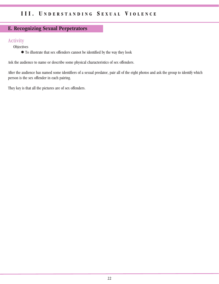# **E. Recognizing Sexual Perpetrators**

### **Activity**

**Objectives** 

l To illustrate that sex offenders cannot be identified by the way they look

Ask the audience to name or describe some physical characteristics of sex offenders.

After the audience has named some identifiers of a sexual predator, pair all of the eight photos and ask the group to identify which person is the sex offender in each pairing.

They key is that all the pictures are of sex offenders.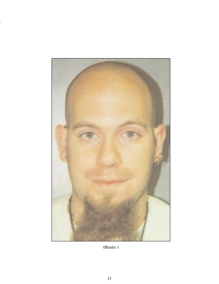

Offender 1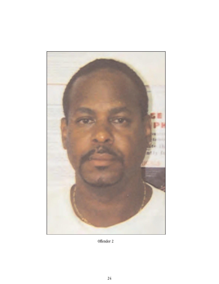

Offender 2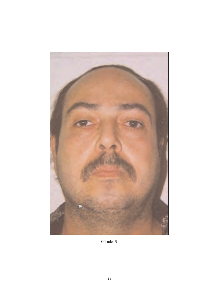

Offender 3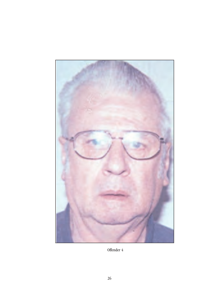

Offender 4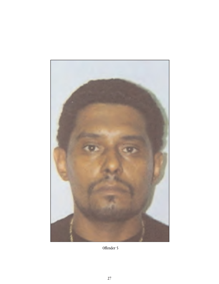

Offender 5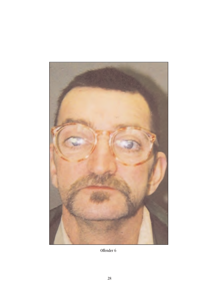

Offender 6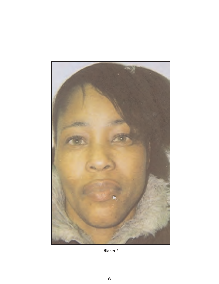

Offender 7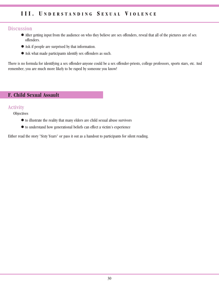#### **Discussion**

- l After getting input from the audience on who they believe are sex offenders, reveal that all of the pictures are of sex offenders.
- l Ask if people are surprised by that information.
- l Ask what made participants identify sex offenders as such.

There is no formula for identifying a sex offender-anyone could be a sex offender-priests, college professors, sports stars, etc. And remember, you are much more likely to be raped by someone you know!

## **F. Child Sexual Assault**

#### **Activity**

**Objectives** 

- $\bullet$  to illustrate the reality that many elders are child sexual abuse survivors
- $\bullet$  to understand how generational beliefs can effect a victim's experience

Either read the story "Sixty Years" or pass it out as a handout to participants for silent reading.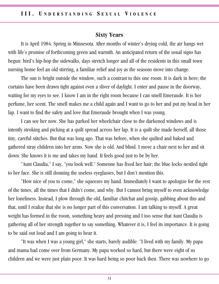## **Sixty Years**

It is April 1984. Spring in Minnesota. After months of winter's drying cold, the air hangs wet with life's promise of forthcoming green and warmth. An anticipated return of the usual signs has begun: bird's hip-hop the sidewalks, days stretch longer and all of the residents in this small town nursing home feel an old stirring, a familiar relief and joy as the seasons move into change.

The sun is bright outside the window, such a contrast to this one room. It is dark in here; the curtains have been drawn tight against even a sliver of daylight. I enter and pause in the doorway, waiting for my eyes to see. I know I am in the right room because I can smell Emeraude. It is her perfume, her scent. The smell makes me a child again and I want to go to her and put my head in her lap. I want to find the safety and love that Emeraude brought when I was young.

I can see her now. She has parked her wheelchair close to the darkened windows and is intently stroking and picking at a quilt spread across her lap. It is a quilt she made herself, all those tiny, careful stitches. But that was long ago. That was before, when she quilted and baked and gathered stray children into her arms. Now she is old. And blind. I move a chair next to her and sit down. She knows it is me and takes my hand. It feels good just to be by her.

"Aunt Claudia," I say, "you look well." Someone has fixed her hair; the blue locks nestled tight to her face. She is still donning the useless eyeglasses, but I don't mention this.

"How nice of you to come," she squeezes my hand. Immediately I want to apologize for the rest of the times, all the times that I didn't come, and why. But I cannot bring myself to even acknowledge her loneliness. Instead, I plow through the old, familiar chitchat and gossip, gabbing about this and that, until I realize that she is no longer part of this conversation. I am talking to myself. A great weight has formed in the room, something heavy and pressing and I too sense that Aunt Claudia is gathering all of her strength together to say something. Whatever it is, I feel its importance. It is going to be said out loud and I am going to hear it.

"It was when I was a young girl," she starts, barely audible. "I lived with my family. My papa and mama had come over from Germany. My papa worked so hard, but there were eight of us children and we were just plain poor. It was hard being so poor back then. There was nowhere to go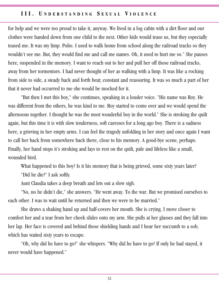for help and we were too proud to take it, anyway. We lived in a log cabin with a dirt floor and our clothes were handed down from one child to the next. Other kids would tease us, but they especially teased me. It was my limp. Polio. I used to walk home from school along the railroad tracks so they wouldn't see me. But, they would find me and call me names. Oh, it used to hurt me so." She pauses here, suspended in the memory. I want to reach out to her and pull her off those railroad tracks, away from her tormentors. I had never thought of her as walking with a limp. It was like a rocking from side to side, a steady back and forth beat; constant and reassuring. It was so much a part of her that it never had occurred to me she would be mocked for it.

"But then I met this boy," she continues, speaking in a louder voice. "His name was Roy. He was different from the others, he was kind to me. Roy started to come over and we would spend the afternoons together. I thought he was the most wonderful boy in the world." She is stroking the quilt again, but this time it is with slow tenderness, soft caresses for a long ago boy. There is a sadness here, a grieving in her empty arms. I can feel the tragedy unfolding in her story and once again I want to call her back from somewhere back there, close to his memory. A good-bye scene, perhaps. Finally, her hand stops it's stroking and lays to rest on the quilt, pale and lifeless like a small, wounded bird.

What happened to this boy? Is it his memory that is being grieved, some sixty years later? "Did he die?" I ask softly.

Aunt Claudia takes a deep breath and lets out a slow sigh.

"No, no he didn't die," she answers. "He went away. To the war. But we promised ourselves to each other. I was to wait until he returned and then we were to be married."

She draws a shaking hand up and half-covers her mouth. She is crying. I move closer to comfort her and a tear from her cheek slides onto my arm. She pulls at her glasses and they fall into her lap. Her face is covered and behind those shielding hands and I hear her succumb to a sob, which has waited sixty years to escape.

"Oh, why did he have to go?" she whispers. "Why did he have to go? If only he had stayed, it never would have happened."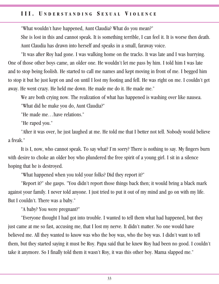"What wouldn't have happened, Aunt Claudia? What do you mean?"

She is lost in this and cannot speak. It is something terrible, I can feel it. It is worse then death. Aunt Claudia has drawn into herself and speaks in a small, faraway voice.

"It was after Roy had gone. I was walking home on the tracks. It was late and I was hurrying. One of those other boys came, an older one. He wouldn't let me pass by him. I told him I was late and to stop being foolish. He started to call me names and kept moving in front of me. I begged him to stop it but he just kept on and on until I lost my footing and fell. He was right on me. I couldn't get away. He went crazy. He held me down. He made me do it. He made me."

We are both crying now. The realization of what has happened is washing over like nausea.

"What did he make you do, Aunt Claudia?"

"He made me…have relations."

"He raped you."

"After it was over, he just laughed at me. He told me that I better not tell. Nobody would believe a freak."

It is I, now, who cannot speak. To say what? I'm sorry? There is nothing to say. My fingers burn with desire to choke an older boy who plundered the free spirit of a young girl. I sit in a silence hoping that he is destroyed.

"What happened when you told your folks? Did they report it?"

"Report it?" she gasps. "You didn't report those things back then; it would bring a black mark against your family. I never told anyone. I just tried to put it out of my mind and go on with my life. But I couldn't. There was a baby."

"A baby? You were pregnant?"

"Everyone thought I had got into trouble. I wanted to tell them what had happened, but they just came at me so fast, accusing me, that I lost my nerve. It didn't matter. No one would have believed me. All they wanted to know was who the boy was, who the boy was. I didn't want to tell them, but they started saying it must be Roy. Papa said that he knew Roy had been no good. I couldn't take it anymore. So I finally told them it wasn't Roy, it was this other boy. Mama slapped me."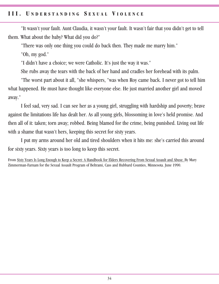"It wasn't your fault. Aunt Claudia, it wasn't your fault. It wasn't fair that you didn't get to tell them. What about the baby? What did you do?"

"There was only one thing you could do back then. They made me marry him."

"Oh, my god."

"I didn't have a choice; we were Catholic. It's just the way it was."

She rubs away the tears with the back of her hand and cradles her forehead with its palm.

"The worst part about it all, "she whispers, "was when Roy came back. I never got to tell him what happened. He must have thought like everyone else. He just married another girl and moved away."

I feel sad, very sad. I can see her as a young girl, struggling with hardship and poverty; brave against the limitations life has dealt her. As all young girls, blossoming in love's held promise. And then all of it: taken; torn away; robbed. Being blamed for the crime, being punished. Living out life with a shame that wasn't hers, keeping this secret for sixty years.

I put my arms around her old and tired shoulders when it hits me: she's carried this around for sixty years. Sixty years is too long to keep this secret.

From Sixty Years Is Long Enough to Keep a Secret: A Handbook for Elders Recovering From Sexual Assault and Abuse. By Mary Zimmerman-Farnam for the Sexual Assault Program of Beltrami, Cass and Hubbard Counties, Minnesota. June 1990.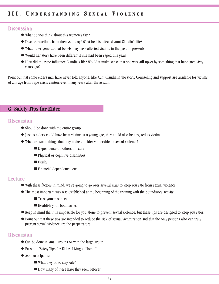#### **Discussion**

- What do you think about this women's fate?
- l Discuss reactions from then vs. today? What beliefs affected Aunt Claudia's life?
- What other generational beliefs may have affected victims in the past or present?
- Would her story have been different if she had been raped this year?
- l How did the rape influence Claudia's life? Would it make sense that she was still upset by something that happened sixty years ago?

Point out that some elders may have never told anyone, like Aunt Claudia in the story. Counseling and support are available for victims of any age from rape crisis centers-even many years after the assault.

### **G. Safety Tips for Elder**

#### **Discussion**

- Should be done with the entire group.
- l Just as elders could have been victims at a young age, they could also be targeted as victims.
- l What are some things that may make an elder vulnerable to sexual violence?
	- Dependence on others for care
	- Physical or cognitive disabilities
	- **n** Frailty
	- $\blacksquare$  Financial dependence, etc.

#### Lecture

- l With these factors in mind, we're going to go over several ways to keep you safe from sexual violence.
- l The most important way was established at the beginning of the training with the boundaries activity.
	- $\blacksquare$  Trust your instincts
	- $\blacksquare$  Establish your boundaries
- l Keep in mind that it is impossible for you alone to prevent sexual violence, but these tips are designed to keep you safer.
- l Point out that these tips are intended to reduce the risk of sexual victimization and that the only persons who can truly prevent sexual violence are the perpetrators.

#### **Discussion**

- Can be done in small groups or with the large group.
- l Pass out "Safety Tips for Elders Living at Home."
- Ask participants:
	- $\blacksquare$  What they do to stay safe?
	- How many of these have they seen before?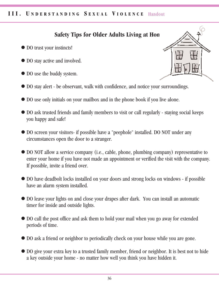## **III. UNDERSTANDING SEXUAL VIOLENCE Handout**

# **Safety Tips for Older Adults Living at Hon**

- DO trust your instincts!
- $\bullet$  DO stay active and involved.
- $\bullet$  DO use the buddy system.
- DO stay alert be observant, walk with confidence, and notice your surroundings.
- DO use only initials on your mailbox and in the phone book if you live alone.
- DO ask trusted friends and family members to visit or call regularly staying social keeps you happy and safe!
- DO screen your visitors- if possible have a "peephole" installed. DO NOT under any circumstances open the door to a stranger.
- DO NOT allow a service company (i.e., cable, phone, plumbing company) representative to enter your home if you have not made an appointment or verified the visit with the company. If possible, invite a friend over.
- DO have deadbolt locks installed on your doors and strong locks on windows if possible have an alarm system installed.
- l DO leave your lights on and close your drapes after dark. You can install an automatic timer for inside and outside lights.
- DO call the post office and ask them to hold your mail when you go away for extended periods of time.
- $\bullet$  DO ask a friend or neighbor to periodically check on your house while you are gone.
- DO give your extra key to a trusted family member, friend or neighbor. It is best not to hide a key outside your home - no matter how well you think you have hidden it.

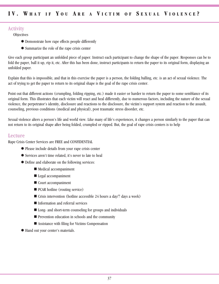### **Activity**

**Objectives** 

- Demonstrate how rape effects people differently
- Summarize the role of the rape crisis center

Give each group participant an unfolded piece of paper. Instruct each participant to change the shape of the paper. Responses can be to fold the paper, ball it up, rip it, etc. After this has been done, instruct participants to return the paper to its original form, displaying an unfolded paper.

Explain that this is impossible, and that in this exercise the paper is a person, the folding balling, etc. is an act of sexual violence. The act of trying to get the paper to return to its original shape is the goal of the rape crisis center.

Point out that different actions (crumpling, folding ripping, etc.) made it easier or harder to return the paper to some semblance of its original form. This illustrates that each victim will react and heal differently, due to numerous factors, including the nature of the sexual violence, the perpetrator's identity, disclosure and reactions to the disclosure, the victim's support system and reaction to the assault, counseling, previous conditions (medical and physical), post traumatic stress disorder, etc.

Sexual violence alters a person's life and world view. Like many of life's experiences, it changes a person similarly to the paper that can not return to its original shape after being folded, crumpled or ripped. But, the goal of rape crisis centers is to help

#### Lecture

Rape Crisis Center Services are FREE and CONFIDENTIAL

- Please include details from your rape crisis center
- l Services aren't time related, it's never to late to heal
- Define and elaborate on the following services:
	- Medical accompaniment
	- Legal accompaniment
	- $\blacksquare$  Court accompaniment
	- $\blacksquare$  PCAR hotline (routing service)
	- $\blacksquare$  Crisis intervention (hotline accessible 24 hours a day/7 days a week)
	- $\blacksquare$  Information and referral services
	- Long- and short-term counseling for groups and individuals
	- $\blacksquare$  Prevention education in schools and the community
	- $\blacksquare$  Assistance with filing for Victims Compensation
- l Hand out your center's materials.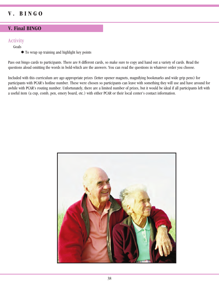# **V . B I N G O**

### **V. Final BINGO**

#### **Activity**

Goals

 $\bullet$  To wrap up training and highlight key points

Pass out bingo cards to participants. There are 8 different cards, so make sure to copy and hand out a variety of cards. Read the questions aloud omitting the words in bold-which are the answers. You can read the questions in whatever order you choose.

Included with this curriculum are age-appropriate prizes (letter opener magnets, magnifying bookmarks and wide grip pens) for participants with PCAR's hotline number. These were chosen so participants can leave with something they will use and have around for awhile with PCAR's routing number. Unfortunately, there are a limited number of prizes, but it would be ideal if all participants left with a useful item (a cup, comb, pen, emery board, etc.) with either PCAR or their local center's contact information.

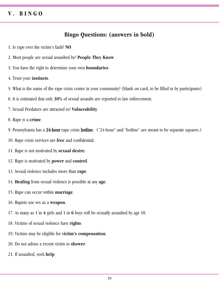# **V . B I N G O**

# **Bingo Questions: (answers in bold)**

- 1. Is rape ever the victim's fault? **NO**
- 2. Most people are sexual assaulted by? **People They Know**
- 3. You have the right to determine your own **boundaries**.
- 4. Trust your **instincts**.
- 5. What is the name of the rape crisis center in your community? (blank on card, to be filled in by participants)
- 6. It is estimated that only **30%** of sexual assaults are reported to law enforcement.
- 7. Sexual Predators are attracted to? **Vulnerability**
- 8. Rape is a **crime**.
- 9. Pennsylvania has a 24-hour rape crisis hotline. ("24-hour" and "hotline" are meant to be separate squares.)
- 10. Rape crisis services are **free** and confidential.
- 11. Rape is not motivated by **sexual desire**.
- 12. Rape is motivated by **power** and **control**.
- 13. Sexual violence includes more than **rape**.
- 14. **Healing** from sexual violence is possible at any **age**.
- 15. Rape can occur within **marriage**.
- 16. Rapists use sex as a **weapon**.
- 17. As many as 1 in **4** girls and 1 in **6** boys will be sexually assaulted by age 18.
- 18. Victims of sexual violence have **rights**.
- 19. Victims may be eligible for **victim's compensation**.
- 20. Do not advise a recent victim to **shower**.
- 21. If assaulted, seek **help**.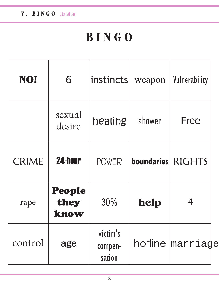| NO!          | 6                      | instincts                     | weapon              | Vulnerability    |
|--------------|------------------------|-------------------------------|---------------------|------------------|
|              | sexual<br>desire       | healing                       | shower              | Free             |
| <b>CRIME</b> | <b>24-hour</b>         | <b>POWER</b>                  | boundaries   RIGHTS |                  |
| rape         | People<br>they<br>know | 30%                           | help                |                  |
| control      | age                    | victim's<br>compen-<br>sation |                     | hotline marriage |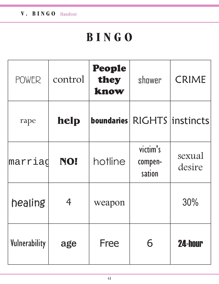| <b>POWER</b>  | control | People<br>they<br>know | shower                        | <b>CRIME</b>     |
|---------------|---------|------------------------|-------------------------------|------------------|
| rape          | help    | <b>boundaries</b>      |                               | RIGHTS instincts |
| marriag       | NO!     | hotline                | victim's<br>compen-<br>sation | sexual<br>desire |
| healing       | 4       | weapon                 |                               | 30%              |
| Vulnerability | age     | Free                   | 6                             | <b>24-hour</b>   |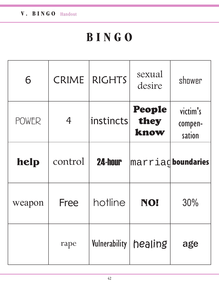| 6            | CRIME          | <b>RIGHTS</b> | sexual<br>desire          | shower                        |
|--------------|----------------|---------------|---------------------------|-------------------------------|
| <b>POWER</b> | $\overline{4}$ | instincts     | People<br>they<br>know    | victim's<br>compen-<br>sation |
| help         | control        | 24-hour       | marriad <b>boundaries</b> |                               |
| weapon       | Free           | hotline       | NO!                       | 30%                           |
|              | rape           | Vulnerability | healing                   | age                           |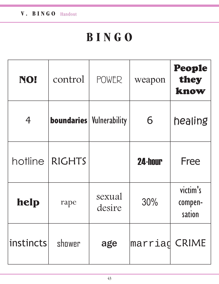| NO!            | control                         | <b>POWER</b>     | weapon        | People<br>they<br>know        |
|----------------|---------------------------------|------------------|---------------|-------------------------------|
| $\overline{4}$ | <b>boundaries</b> Vulnerability |                  | 6             | healing                       |
| hotline        | <b>RIGHTS</b>                   |                  | 24-hour       | Free                          |
| help           | rape                            | sexual<br>desire | 30%           | victim's<br>compen-<br>sation |
| instincts      | shower                          | age              | marriag CRIME |                               |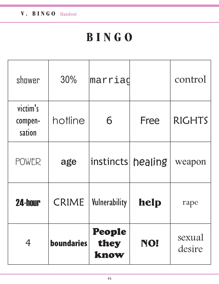| shower                        | 30%               | marriag                |             | control          |
|-------------------------------|-------------------|------------------------|-------------|------------------|
| victim's<br>compen-<br>sation | hotline           | 6                      | <b>Free</b> | <b>RIGHTS</b>    |
| <b>POWER</b>                  | age               | instincts healing      |             | weapon           |
| <b>24-hour</b>                | CRIME             | Vulnerability          | help        | rape             |
| 4                             | <b>boundaries</b> | People<br>they<br>know | NO!         | sexual<br>desire |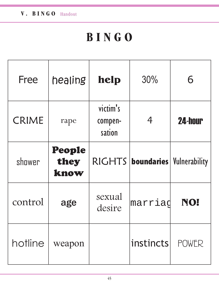| Free         | healing                | help                          | 30%                                 | 6              |
|--------------|------------------------|-------------------------------|-------------------------------------|----------------|
| <b>CRIME</b> | rape                   | victim's<br>compen-<br>sation | 4                                   | <b>24-hour</b> |
| shower       | People<br>they<br>know |                               | RIGHTS   boundaries   Vulnerability |                |
| control      | age                    | sexual<br>desire              | marriad                             | NO!            |
| hotline      | weapon                 |                               | instincts                           | POWER          |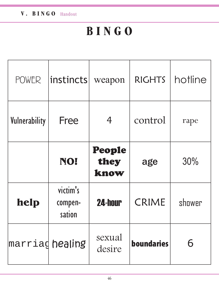| <b>POWER</b>    | $ $ instincts $ $             | weapon                 | <b>RIGHTS</b>     | hotline |
|-----------------|-------------------------------|------------------------|-------------------|---------|
| Vulnerability   | Free                          | 4                      | control           | rape    |
|                 | NO!                           | People<br>they<br>know | age               | 30%     |
| help            | victim's<br>compen-<br>sation | <b>24-hour</b>         | <b>CRIME</b>      | shower  |
| marriag healing |                               | sexual<br>desire       | <b>boundaries</b> |         |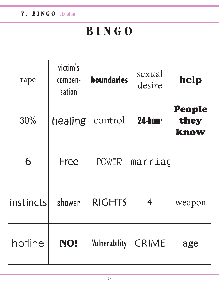| rape      | victim's<br>compen-<br>sation | <b>boundaries</b> | sexual<br>desire | help                   |
|-----------|-------------------------------|-------------------|------------------|------------------------|
| 30%       | healing                       | control           | 24-hour          | People<br>they<br>know |
| 6         | <b>Free</b>                   | <b>POWER</b>      | marriad          |                        |
| instincts | shower                        | <b>RIGHTS</b>     | 4                | weapon                 |
| hotline   | NO!                           | Vulnerability     | <b>CRIME</b>     | age                    |